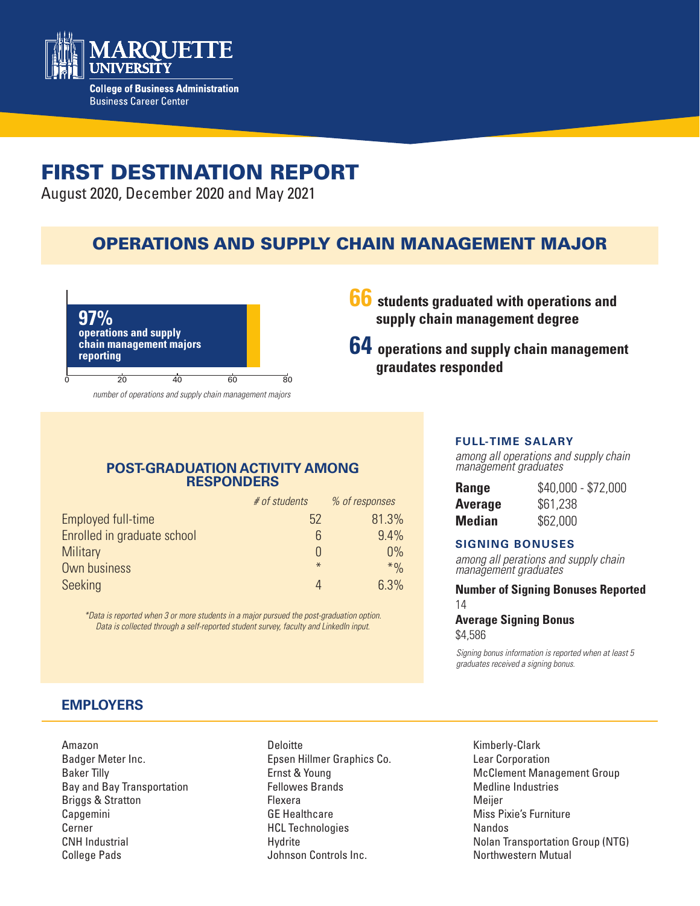

# FIRST DESTINATION REPORT

August 2020, December 2020 and May 2021

## OPERATIONS AND SUPPLY CHAIN MANAGEMENT MAJOR



- **66 students graduated with operations and supply chain management degree**
- **64 operations and supply chain management graudates responded**

### **POST-GRADUATION ACTIVITY AMONG RESPONDERS**

|                             | # of students | % of responses |
|-----------------------------|---------------|----------------|
| Employed full-time          | 52            | 81.3%          |
| Enrolled in graduate school | 6             | 9.4%           |
| <b>Military</b>             |               | 0%             |
| Own business                | $\ast$        | $*$ %          |
| Seeking                     |               | 6.3%           |

*\*Data is reported when 3 or more students in a major pursued the post-graduation option. Data is collected through a self-reported student survey, faculty and LinkedIn input.*

#### **FULL-TIME SALARY**

*among all operations and supply chain management graduates*

| <b>Range</b>   | $$40,000 - $72,000$ |
|----------------|---------------------|
| <b>Average</b> | \$61,238            |
| Median         | \$62,000            |

#### **SIGNING BONUSES**

*among all perations and supply chain management graduates*

#### **Number of Signing Bonuses Reported** 14

#### **Average Signing Bonus**  \$4,586

*Signing bonus information is reported when at least 5 graduates received a signing bonus.* 

## **EMPLOYERS**

Amazon Badger Meter Inc. Baker Tilly Bay and Bay Transportation Briggs & Stratton Capgemini Cerner CNH Industrial College Pads

Deloitte Epsen Hillmer Graphics Co. Ernst & Young Fellowes Brands Flexera GE Healthcare HCL Technologies Hydrite Johnson Controls Inc.

Kimberly-Clark Lear Corporation McClement Management Group Medline Industries Meijer Miss Pixie's Furniture Nandos Nolan Transportation Group (NTG) Northwestern Mutual